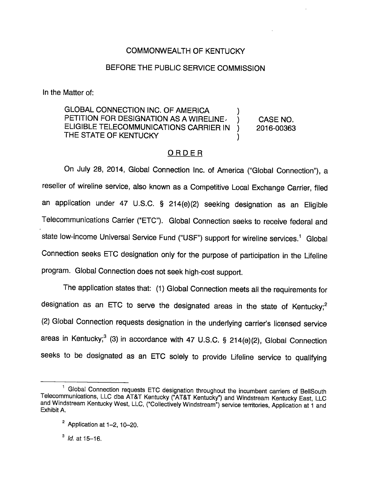# COMMONWEALTH OF KENTUCKY

# BEFORE THE PUBLIC SERVICE COMMISSION

In the Matter of:

GLOBAL CONNECTION INC. OF AMERICA PETITION FOR DESIGNATION AS A WIRELINE (CASE NO. ELIGIBLE TELECOMMUNICATIONS CARRIER IN ) 2016-00363 THE STATE OF KENTUCKY

# **ORDER**

On July 28, 2014, Global Connection Inc. of America ("Global Connection"), a reseller of wireline service, also known as a Competitive Local Exchange Carrier, filed an application under 47 U.S.C. § 214(e)(2) seeking designation as an Eligible Telecommunications Carrier ("ETC"). Global Connection seeks to receive federal and state low-income Universal Service Fund ("USF") support for wireline services.<sup>1</sup> Global Connection seeks ETC designation only for the purpose of participation in the Lifeline program. Global Connection does not seek high-cost support.

The application states that: (1) Global Connection meets all the requirements for designation as an ETC to serve the designated areas in the state of Kentucky; $^2$ (2) Global Connection requests designation in the underlying carrier's licensed service areas in Kentucky; $3$  (3) in accordance with 47 U.S.C. § 214(e)(2), Global Connection seeks to be designated as an ETC solely to provide Lifeline service to qualifying

 $^3$  *Id.* at 15-16.

Global Connection requests ETC designation throughout the incumbent carriers of BellSouth Telecommunications, LLC dba AT&T Kentucky ("AT&T Kentucky") and Windstream Kentucky East, LLC and Windstream Kentucky West, LLC, ("Collectively Windstream") service territories, Application at 1 and Exhibit A.

 $2$  Application at 1-2, 10-20.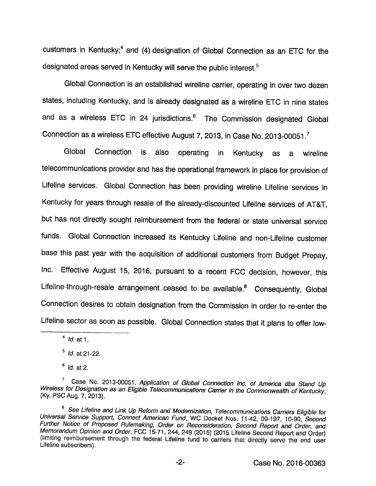customers in Kentucky;<sup>4</sup> and (4) designation of Global Connection as an ETC for the designated areas served in Kentucky will serve the public interest.<sup>5</sup>

Global Connection is an established wireline carrier, operating in over two dozen states, including Kentucky, and is already designated as a wireline ETC in nine states and as a wireless ETC in 24 jurisdictions.® The Commission designated Global Connection as a wireless ETC effective August 7, 2013, in Case No. 2013-00051.<sup>7</sup>

Global Connection is also operating in Kentucky as a wireline telecommunications provider and has the operational framework in place for provision of Lifeline services. Global Connection has been providing wireline Lifeline services in Kentucky for years through resale of the already-discounted Lifeline services of AT&T, but has not directly sought reimbursement from the federal or state universal service funds. Global Connection increased its Kentucky Lifeline and non-Lifeline customer base this past year with the acquisition of additional customers from Budget Prepay, Inc. Effective August 15, 2016, pursuant to a recent FCC decision, however, this Lifeline-through-resale arrangement ceased to be available.<sup>8</sup> Consequently, Global Connection desires to obtain designation from the Commission in order to re-enter the Lifeline sector as soon as possible. Global Connection states that it plans to offer low-

 $<sup>4</sup>$  *ld.* at 1.</sup>

 $<sup>5</sup>$  *ld.* at 21-22.</sup>

 $<sup>6</sup>$  *ld.* at 2.</sup>

<sup>&</sup>lt;sup>7</sup> Case No. 2013-00051, Application of Global Connection Inc. of America dba Stand Up<br>Wireless for Designation as an Eligible Telecommunications Carrier in the Commonwealth of Kentucky, (Ky. PSC Aug. 7, 2013).

<sup>&</sup>lt;sup>8</sup> See Lifeline and Link Up Reform and Modernization, Telecommunications Carriers Eligible for Universal Service Support, Connect American Fund, WO Docket Nos. 11-42, 09-197, 10-90, Second Further Notice of Proposed Rulemaking, Order on Reconsideration, Second Report and Order, and Memorandum Opinion and Order, FCC 15-71, 244, 249 (2015) (2015 Lifeline Second Report and Order) (limiting reimbursement through the federal Lifeline fund to carriers that directiy serve the end user Lifeline subscribers).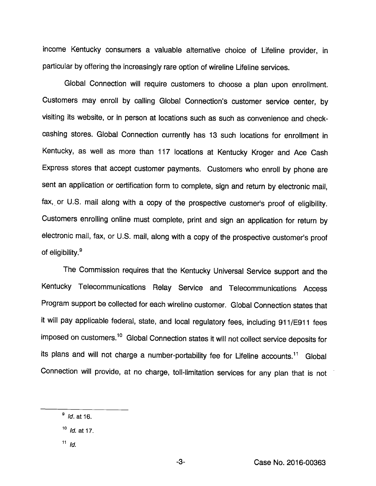income Kentucky consumers a valuable alternative choice of Lifeline provider, in particular by offering the increasingly rare option of wireline Lifeline services.

Global Connection will require customers to choose a plan upon enrollment. Customers may enroll by calling Global Connection's customer service center, by visiting its website, or in person at locations such as such as convenience and checkcashing stores. Global Connection currently has 13 such locations for enrollment in Kentucky, as well as more than 117 locations at Kentucky Kroger and Ace Cash Express stores that accept customer payments. Customers who enroll by phone are sent an application or certification form to complete, sign and return by electronic mall, fax, or U.S. mail along with a copy of the prospective customer's proof of eligibility. Customers enrolling online must complete, print and sign an application for return by electronic mall, fax, or U.S. mall, along with a copy of the prospective customer's proof of eligibility.®

The Commission requires that the Kentucky Universal Service support and the Kentucky Telecommunications Relay Service and Telecommunications Access Program support be collected for each wireline customer. Global Connection states that it will pay applicable federal, state, and local regulatory fees, including 911/E911 fees imposed on customers.<sup>10</sup> Global Connection states it will not collect service deposits for its plans and will not charge a number-portability fee for Lifeline accounts.<sup>11</sup> Global Connection will provide, at no charge, toll-limitation services for any plan that is not

 $11$  *Id.* 

 $\frac{9}{10}$  *Id.* at 16.

 $10$  *Id.* at 17.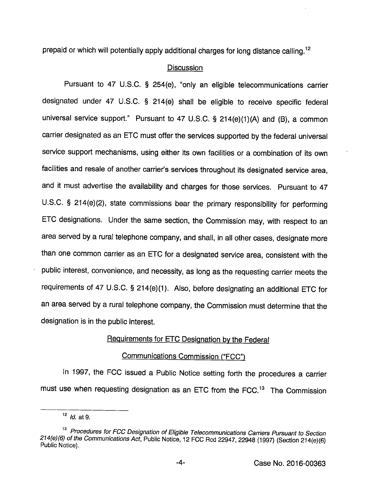prepaid or which will potentially apply additional charges for long distance calling.<sup>12</sup>

# Discussion

Pursuant to 47 U.S.C. § 254(e), "only an eligible telecommunications carrier designated under 47 U.S.C. § 214(e) shall be eligible to receive specific federal universal service support." Pursuant to 47 U.S.C. § 214(e)(1)(A) and (B), a common carrier designated as an ETC must offer the services supported by the federal universal service support mechanisms, using either its own facilities or a combination of its own facilities and resale of another carrier's services throughout its designated service area, and it must advertise the availability and charges for those services. Pursuant to 47 U.S.C. § 214(e)(2), state commissions bear the primary responsibility for performing ETC designations. Under the same section, the Commission may, with respect to an area served by a rural telephone company, and shall, in all other cases, designate more than one common carrier as an ETC for a designated service area, consistent with the public interest, convenience, and necessity, as long as the requesting carrier meets the requirements of 47 U.S.C. § 214(e)(1). Also, before designating an additional ETC for an area served by a rural telephone company, the Commission must determine that the designation is in the public interest.

## Requirements for ETC Designation bv the Federal

# Communications Commission ("FCC")

In 1997, the FCC issued a Public Notice setting forth the procedures a carrier must use when requesting designation as an ETC from the FCC. $13$  The Commission

 $12$  *Id.* at 9.

<sup>&</sup>lt;sup>13</sup> Procedures for FCC Designation of Eligible Telecommunications Carriers Pursuant to Section 214(e)(6) of the Communications Act, Public Notice, 12 FCC Rcd 22947, 22948 (1997) (Section 214(e)(6) Public Notice).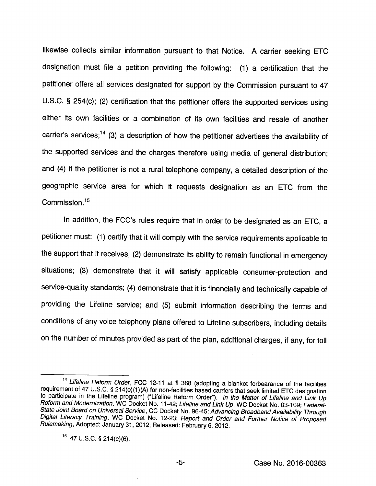likewise collects similar information pursuant to that Notice. A carrier seeking ETC designation must file a petition providing the following: (1) a certification that the petitioner offers all services designated for support by the Commission pursuant to 47 U.S.C. § 254(c); (2) certification that the petitioner offers the supported services using either its own facilities or a combination of its own facilities and resale of another carrier's services;<sup>14</sup> (3) a description of how the petitioner advertises the availability of the supported services and the charges therefore using media of general distribution; and (4) if the petitioner is not a rural telephone company, a detailed description of the geographic service area for which it requests designation as an ETC from the Commission.<sup>15</sup>

In addition, the FCC's rules require that in order to be designated as an ETC, a petitioner must: (1) certify that it will comply with the service requirements applicable to the support that it receives; (2) demonstrate its ability to remain functional in emergency situations; (3) demonstrate that it will satisfy applicable consumer-protection and service-quality standards; (4) demonstrate that it is financially and technically capable of providing the Lifeline service; and (5) submit information describing the terms and conditions of any voice telephony plans offered to Lifeline subscribers, including details on the number of minutes provided as part of the plan, additional charges, if any, for toll

 $-5-$ 

<sup>&</sup>lt;sup>14</sup> Lifeline Reform Order, FCC 12-11 at ¶ 368 (adopting a blanket forbearance of the facilities requirement of 47 U.S.C. §214(e)(1)(A) for non-facilities based carriers that seek limited ETC designation to participate in the Lifeline program) ("Lifeline Reform Order"). In the Matter of Lifeline and Link Up Reform and Modernization, WC Docket No. 11-42; Lifeline and Link Up, WC Docket No. 03-109; Federal-State Joint Board on Universal Service, CC Docket No. 96-45; Advancing Broadband Availability Through Digital Literacy Training, WC Docket No. 12-23; Report and Order and Further Notice of Proposed Rulemaking, Adopted: January 31, 2012; Released: Febmary 6, 2012.

 $15$  47 U.S.C. § 214(e)(6).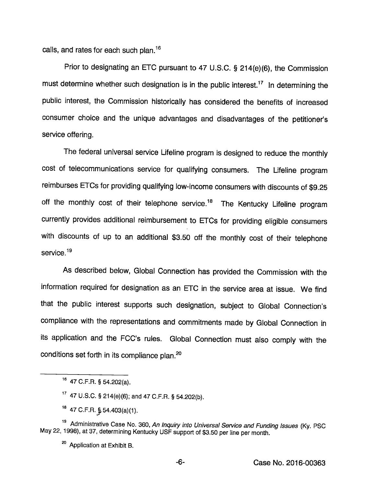calls, and rates for each such plan.<sup>16</sup>

Prior to designating an ETC pursuant to 47 U.S.C. § 214(e)(6), the Commission must determine whether such designation is in the public interest.<sup>17</sup> In determining the public interest, the Commission historically has considered the benefits of increased consumer choice and the unique advantages and disadvantages of the petitioner's service offering.

The federal universal service Lifeline program is designed to reduce the monthly cost of telecommunications service for qualifying consumers. The Lifeline program reimburses ETCs for providing qualifying low-income consumers with discounts of \$9.25 off the monthly cost of their telephone service.<sup>18</sup> The Kentucky Lifeline program currently provides additional reimbursement to ETCs for providing eligible consumers with discounts of up to an additional \$3.50 off the monthly cost of their telephone service.<sup>19</sup>

As described below. Global Connection has provided the Commission with the information required for designation as an ETC in the service area at issue. We find that the public interest supports such designation, subject to Global Connection's compliance with the representations and commitments made by Global Connection in its application and the FCC's rules. Global Connection must also comply with the conditions set forth in its compliance plan. $20$ 

47 C.F.R. §,54.403(a)(1).

<sup>47</sup> C.F.R. § 54.202(a).

 $17$  47 U.S.C. § 214(e)(6); and 47 C.F.R. § 54.202(b).

<sup>&</sup>lt;sup>19</sup> Administrative Case No. 360, An Inquiry into Universal Service and Funding Issues (Ky. PSC May 22, 1998), at 37, determining Kentucky USF support of \$3.50 per line per month.

<sup>&</sup>lt;sup>20</sup> Application at Exhibit B.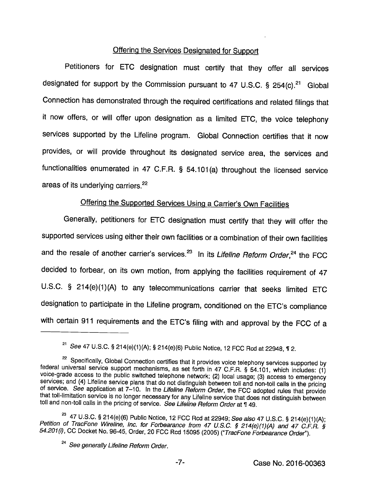# Offering the Services Designated for Support

Petitioners for ETC designation must certify that they offer all services designated for support by the Commission pursuant to 47 U.S.C. § 254(c). $^{21}$  Global Connection has demonstrated through the required certifications and related filings that it now offers, or will offer upon designation as a limited ETC, the voice telephony services supported by the Lifeline program. Global Connection certifies that it now provides, or will provide throughout its designated service area, the services and functionalities enumerated in 47 C.F.R. § 54.101(a) throughout the licensed service areas of its underlying carriers.<sup>22</sup>

# Offering the Supported Services Using a Carrier's Own Facilities

Generally, petitioners for ETC designation must certify that they will offer the supported services using either their own facilities or a combination of their own facilities and the resale of another carrier's services. $^{23}$  In its Lifeline Reform Order, $^{24}$  the FCC decided to forbear, on its own motion, from applying the facilities requirement of 47 U.S.C. § 214(e)(1)(A) to any telecommunications carrier that seeks limited ETC designation to participate in the Lifeline program, conditioned on the ETC's compliance with certain 911 requirements and the ETC's filing with and approval by the FCC of a

<sup>&</sup>lt;sup>21</sup> See 47 U.S.C. § 214(e)(1)(A); § 214(e)(6) Public Notice, 12 FCC Rcd at 22948, ¶ 2.

<sup>&</sup>lt;sup>22</sup> Specifically, Global Connection certifies that it provides voice telephony services supported by federal universal service support mechanisms, as set forth in 47 C.F.R. § 54.101, which includes: (1) voice-grade acces toll and non-toll calls in the pricing of service. See Lifeline Reform Order at 149.

<sup>&</sup>lt;sup>23</sup> 47 U.S.C. § 214(e)(6) Public Notice, 12 FCC Rcd at 22949; See also 47 U.S.C. § 214(e)(1)(A);<br>Petition of TracFone Wireline, Inc. for Forbearance from 47 U.S.C. § 214(e)(1)(A) and 47 C.F.R. §<br>54.201(i), CC Docket No. 9

<sup>&</sup>lt;sup>24</sup> See generally Lifeline Reform Order.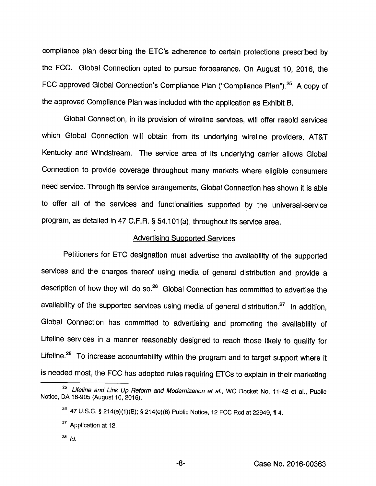compliance plan describing the ETC's adherence to certain protections prescribed by the FCC. Global Connection opted to pursue forbearance. On August 10, 2016, the FCC approved Global Connection's Compliance Plan ("Compliance Plan").<sup>25</sup> A copy of the approved Compliance Plan was included with the application as Exhibit B.

Global Connection, in its provision of wireline services, will offer resold services which Global Connection will obtain from its underlying wireline providers, AT&T Kentucky and Windstream. The service area of its underlying carrier allows Global Connection to provide coverage throughout many markets where eligible consumers need service. Through its service arrangements. Global Connection has shown it is able to offer all of the services and functionalities supported by the universal-service program, as detailed in 47 C.F.R. § 54.101 (a), throughout its service area.

#### Advertising Supported Services

Petitioners for ETC designation must advertise the availability of the supported services and the charges thereof using media of general distribution and provide a description of how they will do so.<sup>26</sup> Global Connection has committed to advertise the availability of the supported services using media of general distribution. $^{27}$  In addition, Global Connection has committed to advertising and promoting the availability of Lifeline services in a manner reasonably designed to reach those likely to qualify for Lifeline.<sup>28</sup> To increase accountability within the program and to target support where it is needed most, the FCC has adopted rules requiring ETCs to explain in their marketing

 $^{28}$  Id.

<sup>&</sup>lt;sup>25</sup> Lifeline and Link Up Reform and Modernization et al., WC Docket No. 11-42 et al., Public Notice, DA 16-905 (August 10, 2016).

 $^{26}$  47 U.S.C. § 214(e)(1)(B); § 214(e)(6) Public Notice, 12 FCC Rcd at 22949, ¶ 4.

<sup>&</sup>lt;sup>27</sup> Application at 12.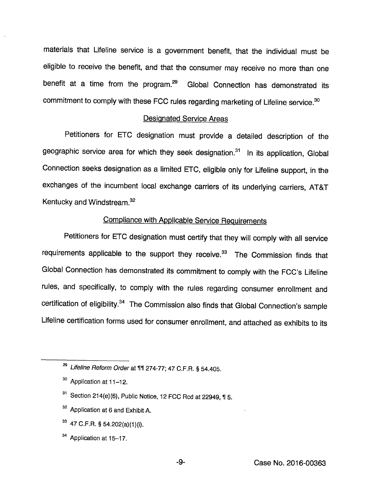materials that Lifeline service is a govemment benefit, that the individual must be eligible to receive the benefit, and that the consumer may receive no more than one benefit at a time from the program.<sup>29</sup> Global Connection has demonstrated its commitment to comply with these FCC rules regarding marketing of Lifeline service.<sup>30</sup>

#### Designated Service Areas

Petitioners for ETC designation must provide a detailed description of the geographic service area for which they seek designation.<sup>31</sup> In its application, Global Connection seeks designation as a limited ETC, eligible only for Lifeline support, in the exchanges of the incumbent local exchange carriers of its underlying carriers, AT&T Kentucky and Windstream.<sup>32</sup>

# Compliance with Applicable Service Requirements

Petitioners for ETC designation must certify that they will comply with all service requirements applicable to the support they receive. $33$  The Commission finds that Giobal Connection has demonstrated its commitment to comply with the FCC's Lifeline rules, and specifically, to comply with the rules regarding consumer enrollment and certification of eligibility.<sup>34</sup> The Commission also finds that Global Connection's sample Lifeline certification forms used for consumer enrollment, and attached as exhibits to its

- <sup>32</sup> Application at 6 and Exhibit A.
- $33$  47 C.F.R. § 54.202(a)(1)(i).
- $34$  Application at 15-17.

-9-

 $^{\text{29}}$  Lifeline Reform Order at ¶¶ 274-77; 47 C.F.R. § 54.405.

<sup>30</sup> Application at 11-12.

 $31$  Section 214(e)(6), Public Notice, 12 FCC Rcd at 22949, 15.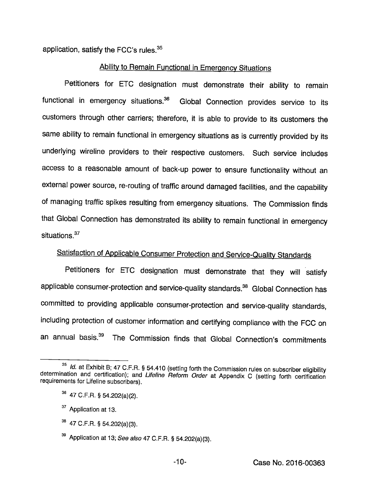application, satisfy the FCC's rules. $35$ 

# Ability to Remain Functional in Emergency Situations

Petitioners for ETC designation must demonstrate their ability to remain functional in emergency situations. $36$  Global Connection provides service to its customers through other carriers; therefore, it is able to proyide to its customers the same ability to remain functional in emergency situations as is currently proyided by its underlying wireline proyiders to their respectiye customers. Such service includes access to a reasonable amount of back-up power to ensure functionality without an external power source, re-routing of traffic around damaged facilities, and the capability of managing traffic spikes resulting from emergency situations. The Commission finds that Global Connection has demonstrated its ability to remain functional in emergency situations. $37$ 

# Satisfaction of Applicable Consumer Protection and Service-Quality Standards

Petitioners for ETC designation must demonstrate that they will satisfy applicable consumer-protection and service-quality standards.<sup>38</sup> Global Connection has committed to providing applicable consumer-protection and service-quality standards, including protection of customer information and certifying compliance with the FCC on an annual basis.<sup>39</sup> The Commission finds that Global Connection's commitments

 $38$  47 C.F.R. § 54.202(a)(3).

<sup>&</sup>lt;sup>35</sup> Id. at Exhibit B; 47 C.F.R. § 54.410 (setting forth the Commission rules on subscriber eligibility determination and certification); and Lifeline Reform Order at Appendix C (setting forth certification requirements for Lifeline subscribers).

 $^{36}$  47 C.F.R. § 54.202(a)(2).

<sup>&</sup>lt;sup>37</sup> Application at 13.

 $39$  Application at 13; See also 47 C.F.R. § 54.202(a)(3).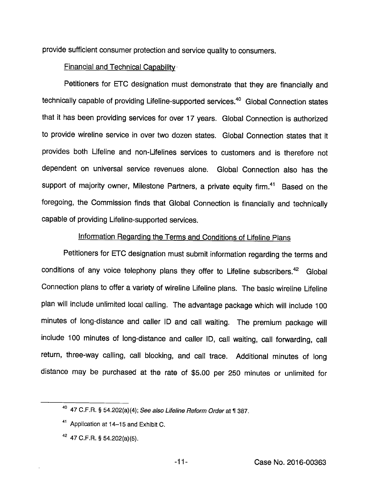provide sufficient consumer protection and service quality to consumers.

# Financial and Technical Capability

Petitioners for ETC designation must demonstrate that they are financially and technically capable of providing Lifeline-supported services.<sup>40</sup> Global Connection states that it has been providing services for over 17 years. Global Connection is authorized to provide wireline service in over two dozen states. Global Connection states that it provides both Lifeline and non-Lifelines services to customers and is therefore not dependent on universal service revenues alone. Global Connection also has the support of majority owner, Milestone Partners, a private equity firm.<sup>41</sup> Based on the foregoing, the Commission finds that Global Connection is financially and technically capable of providing Lifeline-supported services.

# Information Regarding the Terms and Conditions of Lifeline Plans

Petitioners for ETC designation must submit information regarding the terms and conditions of any voice telephony plans they offer to Lifeline subscribers.<sup>42</sup> Global Connection plans to offer a variety of wireline Lifeline plans. The basic wireline Lifeline plan will include unlimited local calling. The advantage package which will include 100 minutes of long-distance and caller ID and call waiting. The premium package will include 100 minutes of long-distance and caller ID, call waiting, call forwarding, call return, three-way calling, call blocking, and call trace. Additional minutes of long distance may be purchased at the rate of \$5.00 per 250 minutes or unlimited for

 $40$  47 C.F.R. § 54.202(a)(4); See also Lifeline Reform Order at ¶ 387.

<sup>&</sup>lt;sup>41</sup> Application at 14-15 and Exhibit C.

 $42$  47 C.F.R. § 54.202(a)(5).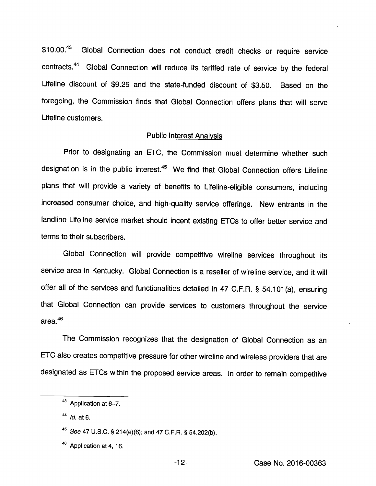\$10.00.<sup>43</sup> Global Connection does not conduct credit checks or require service contracts.<sup>44</sup> Global Connection will reduce its tariffed rate of service by the federal Lifeline discount of \$9.25 and the state-funded discount of \$3.50. Based on the foregoing, the Commission finds that Global Connection offers plans that will serve Lifeline customers.

#### Public Interest Analvsis

Prior to designating an ETC, the Commission must determine whether such designation is in the public interest.<sup>45</sup> We find that Global Connection offers Lifeline plans that will provide a variety of benefits to Lifeline-eligible consumers, including increased consumer choice, and high-quality service offerings. New entrants in the landline Lifeline service market should incent existing ETCs to offer better service and terms to their subscribers.

Global Connection will provide competitive wireline services throughout its service area in Kentucky. Global Connection is a reseller of wireline service, and it will offer all of the services and functionalities detailed in 47 C.F.R. § 54.101(a), ensuring that Global Connection can provide services to customers throughout the service area. $46$ 

The Commission recognizes that the designation of Global Connection as an ETC also creates competitive pressure for other wireline and wireless providers that are designated as ETCs within the proposed service areas. In order to remain competitive

<sup>43</sup> Application at 6-7.

 $^{44}$  *Id.* at 6.

<sup>&</sup>lt;sup>45</sup> See 47 U.S.C. § 214(e)(6); and 47 C.F.R. § 54.202(b).

<sup>&</sup>lt;sup>46</sup> Application at 4, 16.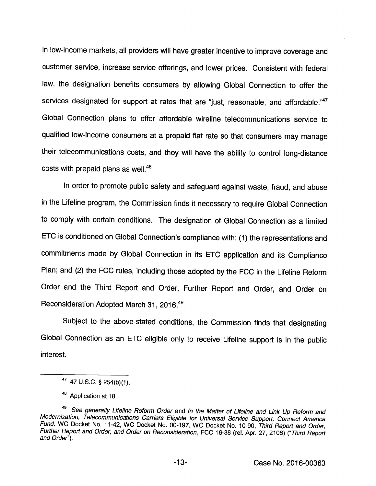in low-income markets, all providers will have greater incentive to improve coverage and customer service, increase service offerings, and lower prices. Consistent with federal law, the designation benefits consumers by allowing Global Connection to offer the services designated for support at rates that are "just, reasonable, and affordable."<sup>47</sup> Global Connection plans to offer affordable wireline telecommunications service to qualified low-income consumers at a prepaid fiat rate so that consumers may manage their telecommunications costs, and they will have the ability to control long-distance costs with prepaid plans as well.<sup>48</sup>

In order to promote public safety and safeguard against waste, fraud, and abuse in the Lifeline program, the Commission finds it necessary to require Global Connection to comply with certain conditions. The designation of Global Connection as a limited ETC is conditioned on Global Connection's compliance with: (1) the representations and commitments made by Global Connection in its ETC application and its Compliance Plan; and (2) the FCC rules, including those adopted by the FCC in the Lifeline Reform Order and the Third Report and Order, Further Report and Order, and Order on Reconsideration Adopted March 31, 2016."®

Subject to the above-stated conditions, the Commission finds that designating Global Connection as an ETC eligible only to receive Lifeline support is in the public interest.

<sup>47</sup> U.S.C.§ 254(b)(1).

<sup>48</sup> Application at 18.

<sup>&</sup>lt;sup>49</sup> See generally Lifeline Reform Order and In the Matter of Lifeline and Link Up Reform and Modernization, Telecommunications Carriers Eligible for Universal Service Support, Connect America Fund, WC Docket No. 11-42, WC Docket No. 00-197, WC Docket No. 10-90, Third Report and Order, Further Report and Order, and Order on Reconsideration, FCC 16-38 (rel. Apr. 27, 2106) ("Third Report and Order").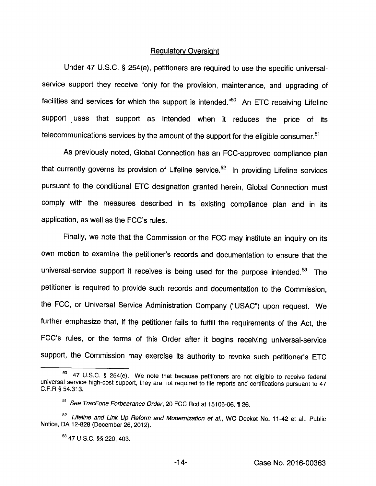#### Regulatory Oversight

Under 47 U.S.C. § 254(e), petitioners are required to use the specific universalservice support they receive "only for the provision, maintenance, and upgrading of facilities and services for which the support is intended. $^{50}$  An ETC receiving Lifeline support uses that support as intended when it reduces the price of its telecommunications services by the amount of the support for the eligible consumer. $51$ 

As previously noted. Global Connection has an FCC-approved compliance plan that currently governs its provision of Lifeline service.<sup>52</sup> In providing Lifeline services pursuant to the conditional ETC designation granted herein. Global Connection must comply with the measures described in its existing compliance plan and in its application, as well as the FCC's rules.

Finally, we note that the Commission or the FCC may institute an inquiry on its own motion to examine the petitioner's records and documentation to ensure that the universal-service support it receives is being used for the purpose intended.<sup>53</sup> The petitioner is required to provide such records and documentation to the Commission, the FCC, or Universal Service Administration Company ("USAC") upon request. We further emphasize that, if the petitioner fails to fulfill the requirements of the Act, the FCC's rules, or the terms of this Order after it begins receiving universal-service support, the Commission may exercise its authority to revoke such petitioner's ETC

<sup>47</sup> U.S.C. § 254(e). We note that because petitioners are not eligible to receive federal universal service high-cost support, they are not required to file reports and certifications pursuant to 47 C.F.R § 54.313.

<sup>&</sup>lt;sup>51</sup> See TracFone Forbearance Order, 20 FCC Rcd at 15105-06, 1 26.

<sup>&</sup>lt;sup>52</sup> Lifeline and Link Up Reform and Modernization et al., WC Docket No. 11-42 et al., Public Notice, DA 12-828 (December 26, 2012).

<sup>53</sup> 47 U.S.C. §§ 220, 403.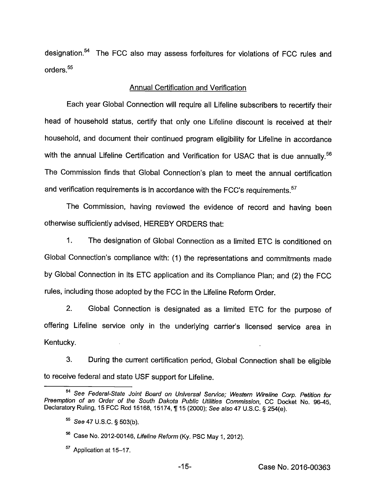designation.<sup>54</sup> The FCC also may assess forfeitures for violations of FCC rules and orders.<sup>55</sup>

## Annual Certification and Verification

Each year Global Connection will require all Lifeline subscribers to recertify their head of household status, certify that only one Lifeline discount is received at their household, and document their continued program eligibility for Lifeline in accordance with the annual Lifeline Certification and Verification for USAC that is due annually.<sup>56</sup> The Commission finds that Global Connection's plan to meet the annual certification and verification requirements is in accordance with the FCC's requirements.<sup>57</sup>

The Commission, having reviewed the evidence of record and having been otherwise sufficiently advised, HEREBY ORDERS that:

1. The designation of Global Connection as a limited ETC is conditioned on Global Connection's compliance with: (1) the representations and commitments made by Global Connection in its ETC application and its Compliance Plan; and (2) the FCC rules, including those adopted by the FCC in the Lifeline Reform Order.

2. Global Connection is designated as a limited ETC for the purpose of offering Lifeline service only in the underlying carrier's licensed service area in Kentucky.

3. During the current certification period. Global Connection shall be eligible to receive federal and state USE support for Lifeline.

See Federal-State Joint Board on Universal Service; Western Wireline Corp. Petition for Preemption of an Order of the South Dakota Public Utilities Commission, CC Docket No. 96-45, Declaratory Ruling, 15 FCC Rcd 15168, 15174, ¶ 15 (2000); See also 47 U.S.C. § 254(e).

 $^{55}$  See 47 U.S.C. § 503(b).

Case No. 2012-00146, Lifeline Reform (Ky. PSC May 1, 2012).

<sup>&</sup>lt;sup>57</sup> Application at 15-17.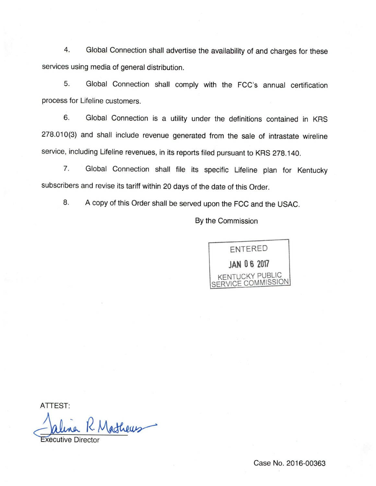4. Global Connection shall advertise the availability of and charges for these services using media of general distribution.

5. Global Connection shall comply with the FCC's annual certification process for Lifeline customers.

6. Global Connection is a utility under the definitions contained in KRS 278.010(3) and shall include revenue generated from the sale of intrastate wireline service, including Lifeline revenues, in its reports filed pursuant to KRS 278.140.

7. Global Connection shall file its specific Lifeline plan for Kentucky subscribers and revise its tariff within 20 days of the date of this Order.

8. A copy of this Order shall be served upon the FCC and the USAC.

By the Commission



ATTEST:

athews

Executive Director

Case No. 2016-00363